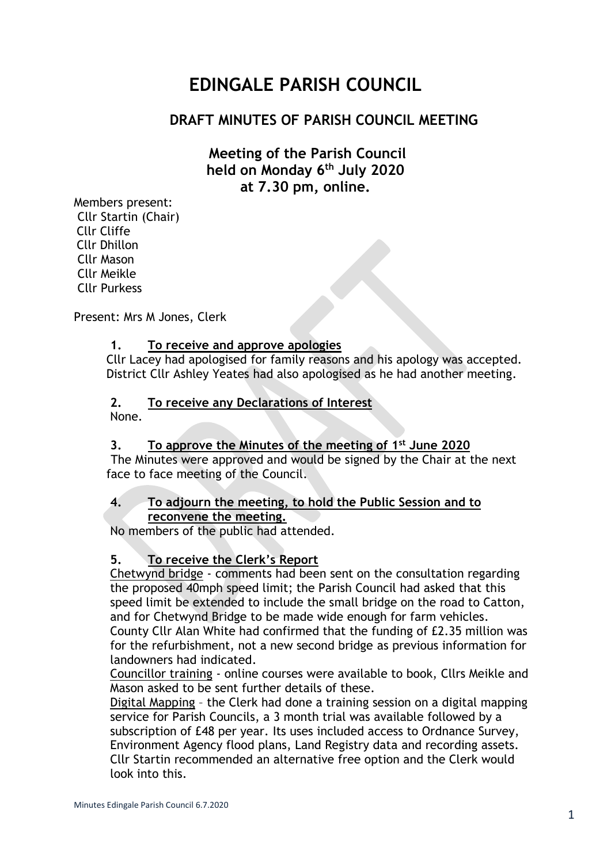# **EDINGALE PARISH COUNCIL**

# **DRAFT MINUTES OF PARISH COUNCIL MEETING**

# **Meeting of the Parish Council held on Monday 6 th July 2020 at 7.30 pm, online.**

Members present: Cllr Startin (Chair) Cllr Cliffe Cllr Dhillon Cllr Mason Cllr Meikle Cllr Purkess

Present: Mrs M Jones, Clerk

#### **1. To receive and approve apologies**

Cllr Lacey had apologised for family reasons and his apology was accepted. District Cllr Ashley Yeates had also apologised as he had another meeting.

#### **2. To receive any Declarations of Interest**

None.

#### **3. To approve the Minutes of the meeting of 1 st June 2020**

The Minutes were approved and would be signed by the Chair at the next face to face meeting of the Council.

#### **4. To adjourn the meeting, to hold the Public Session and to reconvene the meeting.**

No members of the public had attended.

#### **5. To receive the Clerk's Report**

Chetwynd bridge - comments had been sent on the consultation regarding the proposed 40mph speed limit; the Parish Council had asked that this speed limit be extended to include the small bridge on the road to Catton, and for Chetwynd Bridge to be made wide enough for farm vehicles. County Cllr Alan White had confirmed that the funding of £2.35 million was

for the refurbishment, not a new second bridge as previous information for landowners had indicated.

Councillor training - online courses were available to book, Cllrs Meikle and Mason asked to be sent further details of these.

Digital Mapping – the Clerk had done a training session on a digital mapping service for Parish Councils, a 3 month trial was available followed by a subscription of £48 per year. Its uses included access to Ordnance Survey, Environment Agency flood plans, Land Registry data and recording assets. Cllr Startin recommended an alternative free option and the Clerk would look into this.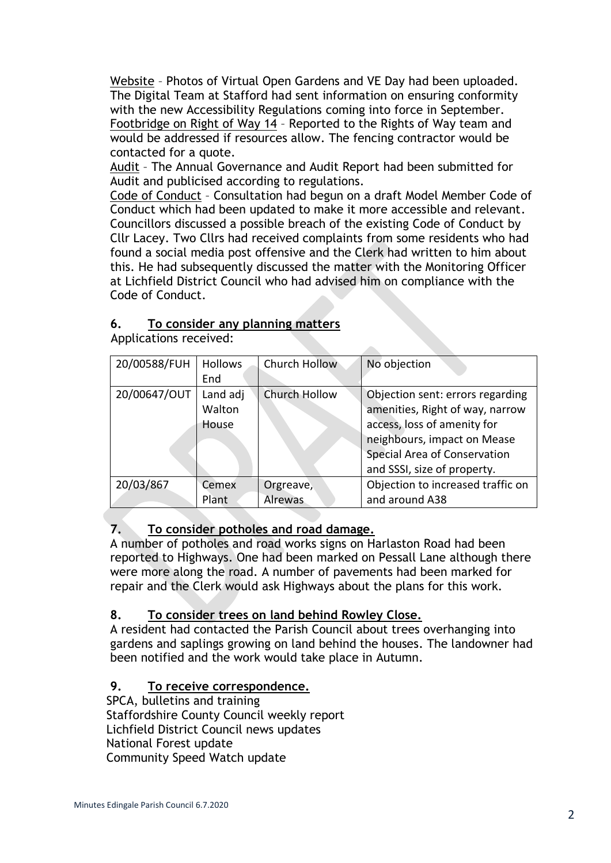Website – Photos of Virtual Open Gardens and VE Day had been uploaded. The Digital Team at Stafford had sent information on ensuring conformity with the new Accessibility Regulations coming into force in September. Footbridge on Right of Way 14 – Reported to the Rights of Way team and would be addressed if resources allow. The fencing contractor would be contacted for a quote.

Audit – The Annual Governance and Audit Report had been submitted for Audit and publicised according to regulations.

Code of Conduct – Consultation had begun on a draft Model Member Code of Conduct which had been updated to make it more accessible and relevant. Councillors discussed a possible breach of the existing Code of Conduct by Cllr Lacey. Two Cllrs had received complaints from some residents who had found a social media post offensive and the Clerk had written to him about this. He had subsequently discussed the matter with the Monitoring Officer at Lichfield District Council who had advised him on compliance with the Code of Conduct.

## **6. To consider any planning matters**

20/00588/FUH Hollows End Church Hollow No objection 20/00647/OUT Land adj **Walton** House Church Hollow | Objection sent: errors regarding amenities, Right of way, narrow access, loss of amenity for neighbours, impact on Mease Special Area of Conservation and SSSI, size of property. 20/03/867 Cemex Plant Orgreave, Alrewas Objection to increased traffic on and around A38

Applications received:

## **7. To consider potholes and road damage.**

A number of potholes and road works signs on Harlaston Road had been reported to Highways. One had been marked on Pessall Lane although there were more along the road. A number of pavements had been marked for repair and the Clerk would ask Highways about the plans for this work.

## **8. To consider trees on land behind Rowley Close.**

A resident had contacted the Parish Council about trees overhanging into gardens and saplings growing on land behind the houses. The landowner had been notified and the work would take place in Autumn.

# **9. To receive correspondence.**

SPCA, bulletins and training Staffordshire County Council weekly report Lichfield District Council news updates National Forest update Community Speed Watch update